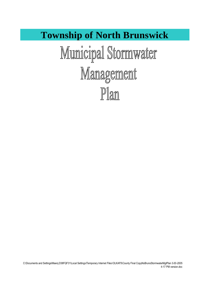**Township of North Brunswick**

# Municipal Stormwater Management Plan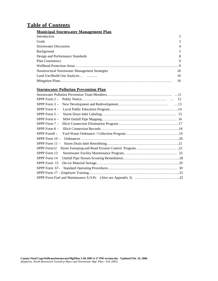### **Table of Contents**

### **Municipal Stormwater Management Plan**

| Introduction                                   | 3  |
|------------------------------------------------|----|
| Goals                                          | 3  |
| <b>Stormwater Discussion</b>                   | 4  |
| <b>Background</b>                              | 5  |
| Design and Performance Standards               |    |
| <b>Plan Consistency</b>                        | 9  |
|                                                |    |
| Nonstructural Stormwater Management Strategies | 10 |
| Land Use/Build-Out Analysis                    | 10 |
|                                                | 10 |

#### **Stormwater Pollution Prevention Plan**

| SPPP Form $2-$   |  |
|------------------|--|
| SPPP Form $3 -$  |  |
| SPPP Form $4 -$  |  |
| SPPP Form $5 -$  |  |
| SPPP Form $6 -$  |  |
| SPPP Form $7 -$  |  |
| SPPP Form $8 -$  |  |
| $SPPP Form9-$    |  |
| SPPP Form $10 -$ |  |
| SPPP Form $11 -$ |  |
| SPPP Form12      |  |
| SPPP Form 13     |  |
| SPPP Form 14     |  |
| SPPP Form 15     |  |
| SPPP Form 67-    |  |
|                  |  |
|                  |  |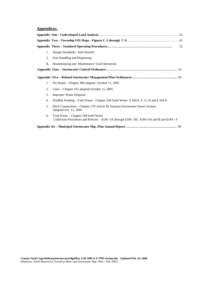### **Appendices:**

|         |                                                                                                                                          | 52 |
|---------|------------------------------------------------------------------------------------------------------------------------------------------|----|
| 1.      | Design Standards - Inlet Retrofit                                                                                                        |    |
| 2.      | Fuel Handling and Dispensing                                                                                                             |    |
| 3.      | Housekeeping and Maintenance Yard Operations                                                                                             |    |
|         |                                                                                                                                          |    |
|         |                                                                                                                                          |    |
| 1.      | Pet Waste – Chapter 388 adopted October 11, 2005                                                                                         |    |
| $2^{1}$ | Litter – Chapter 353 adopted October 11, 2005                                                                                            |    |
| 3.      | Improper Waste Disposal                                                                                                                  |    |
| 4.      | Wildlife Feeding - Yard Waste – Chapter 184 Solid Waste § 184-E, F, G, H and § 184-9                                                     |    |
| 5.      | Illicit Connections – Chapter 276 Article III Separate Stormwater Sewer System<br>Adopted Oct. 11, 2005                                  |    |
| 6.      | Yard Waste – Chapter 184 Solid Waste<br>Collection Procedures and Policies $-$ \$184 -5A through \$184 -5H; \$184 -6A and B and \$184 -9 |    |

**Appendix Six – Municipal Stormwater Mgt. Plan Annual Report…………………………………………** 96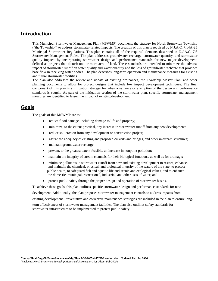### **Introduction**

This Municipal Stormwater Management Plan (MSWMP) documents the strategy for North Brunswick Township ("the Township") to address stormwater-related impacts. The creation of this plan is required by N.J.A.C. 7:14A-25 Municipal Stormwater Regulations. This plan contains all of the required elements described in N.J.A.C. 7:8 Stormwater Management Rules. The plan addresses groundwater recharge, stormwater quantity, and stormwater quality impacts by incorporating stormwater design and performance standards for new major development, defined as projects that disturb one or more acre of land. These standards are intended to minimize the adverse impact of stormwater runoff on water quality and water quantity and the loss of groundwater recharge that provides base flow in receiving water bodies. The plan describes long-term operation and maintenance measures for existing and future stormwater facilities.

The plan also addresses the review and update of existing ordinances, the Township Master Plan, and other planning documents to allow for project designs that include low impact development techniques. The final component of this plan is a mitigation strategy for when a variance or exemption of the design and performance standards is sought. As part of the mitigation section of the stormwater plan, specific stormwater management measures are identified to lessen the impact of existing development.

### **Goals**

The goals of this MSWMP are to:

- reduce flood damage, including damage to life and property;
- minimize, to the extent practical, any increase in stormwater runoff from any new development;
- reduce soil erosion from any development or construction project;
- assure the adequacy of existing and proposed culverts and bridges, and other in-stream structures;
- maintain groundwater recharge;
- prevent, to the greatest extent feasible, an increase in nonpoint pollution;
- maintain the integrity of stream channels for their biological functions, as well as for drainage;
- minimize pollutants in stormwater runoff from new and existing development to restore, enhance, and maintain the chemical, physical, and biological integrity of the waters of the state, to protect public health, to safeguard fish and aquatic life and scenic and ecological values, and to enhance the domestic, municipal, recreational, industrial, and other uses of water; and
- protect public safety through the proper design and operation of stormwater basins.

To achieve these goals, this plan outlines specific stormwater design and performance standards for new

development. Additionally, the plan proposes stormwater management controls to address impacts from

existing development. Preventative and corrective maintenance strategies are included in the plan to ensure long-

term effectiveness of stormwater management facilities. The plan also outlines safety standards for stormwater infrastructure to be implemented to protect public safety.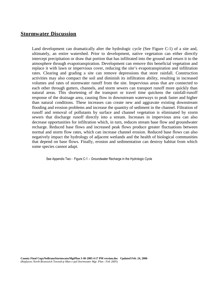### **Stormwater Discussion**

Land development can dramatically alter the hydrologic cycle (See Figure C-1) of a site and, ultimately, an entire watershed. Prior to development, native vegetation can either directly intercept precipitation or draw that portion that has infiltrated into the ground and return it to the atmosphere through evapotranspiration. Development can remove this beneficial vegetation and replace it with lawn or impervious cover, reducing the site's evapotranspiration and infiltration rates. Clearing and grading a site can remove depressions that store rainfall. Construction activities may also compact the soil and diminish its infiltration ability, resulting in increased volumes and rates of stormwater runoff from the site. Impervious areas that are connected to each other through gutters, channels, and storm sewers can transport runoff more quickly than natural areas. This shortening of the transport or travel time quickens the rainfall-runoff response of the drainage area, causing flow in downstream waterways to peak faster and higher than natural conditions. These increases can create new and aggravate existing downstream flooding and erosion problems and increase the quantity of sediment in the channel. Filtration of runoff and removal of pollutants by surface and channel vegetation is eliminated by storm sewers that discharge runoff directly into a stream. Increases in impervious area can also decrease opportunities for infiltration which, in turn, reduces stream base flow and groundwater recharge. Reduced base flows and increased peak flows produce greater fluctuations between normal and storm flow rates, which can increase channel erosion. Reduced base flows can also negatively impact the hydrology of adjacent wetlands and the health of biological communities that depend on base flows. Finally, erosion and sedimentation can destroy habitat from which some species cannot adapt.

See Appendix Two - Figure C-1 – Groundwater Recharge in the Hydrologic Cycle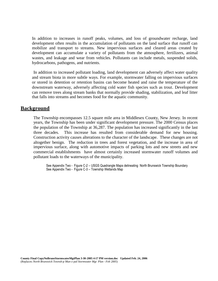In addition to increases in runoff peaks, volumes, and loss of groundwater recharge, land development often results in the accumulation of pollutants on the land surface that runoff can mobilize and transport to streams. New impervious surfaces and cleared areas created by development can accumulate a variety of pollutants from the atmosphere, fertilizers, animal wastes, and leakage and wear from vehicles. Pollutants can include metals, suspended solids, hydrocarbons, pathogens, and nutrients.

In addition to increased pollutant loading, land development can adversely affect water quality and stream biota in more subtle ways. For example, stormwater falling on impervious surfaces or stored in detention or retention basins can become heated and raise the temperature of the downstream waterway, adversely affecting cold water fish species such as trout. Development can remove trees along stream banks that normally provide shading, stabilization, and leaf litter that falls into streams and becomes food for the aquatic community.

### **Background**

The Township encompasses 12.5 square mile area in Middlesex County, New Jersey. In recent years, the Township has been under significant development pressure. The 2000 Census places the population of the Township at 36,287. The population has increased significantly in the last three decades. This increase has resulted from considerable demand for new housing. Construction activity causes alterations to the character of the landscape. These changes are not altogether benign. The reduction in trees and forest vegetation, and the increase in area of impervious surface, along with automotive impacts of parking lots and new streets and new commercial establishments have almost certainly increased stormwater runoff volumes and pollutant loads to the waterways of the municipality.

See Appendix Two - Figure C-2 – USGS Quadrangle Maps delineating North Brunswick Township Boundary See Appendix Two - Figure C-3 – Township Wetlands Map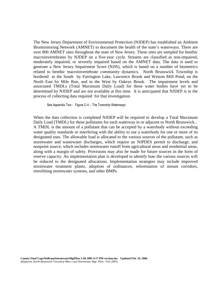The New Jersey Department of Environmental Protection (NJDEP) has established an Ambient Biomonitoring Network (AMNET) to document the health of the state's waterways. There are over 800 AMNET sites throughout the state of New Jersey. These sites are sampled for benthic macroinvertebrates by NJDEP on a five-year cycle. Streams are classified as non-impaired, moderately impaired, or severely impaired based on the AMNET data. The data is used to generate a New Jersey Impairment Score (NJIS), which is based on a number of biometrics related to benthic macroinvertebrate community dynamics. North Brunswick Township is bordered to the South by Farrington Lake, Lawrence Brook and Weston Mill Pond, on the North East by Mile Run, and in the West by Oakeys Brook. The impairment levels and associated TMDLs (Total Maximum Daily Load) for these water bodies have yet to be determined by NJDEP and are not available at this time. It is anticipated that NJDEP is in the process of collecting data required for that investigation.

See Appendix Two - Figure C-4 – The Township Waterways

When the data collection is completed NJDEP will be required to develop a Total Maximum Daily Load (TMDL) for these pollutants for each waterway in or adjacent to North Brunswick.. A TMDL is the amount of a pollutant that can be accepted by a waterbody without exceeding water quality standards or interfering with the ability to use a waterbody for one or more of its designated uses. The allowable load is allocated to the various sources of the pollutant, such as stormwater and wastewater discharges, which require an NJPDES permit to discharge, and nonpoint source, which includes stormwater runoff from agricultural areas and residential areas, along with a margin of safety. Provisions may also be made for future sources in the form of reserve capacity. An implementation plan is developed to identify how the various sources will be reduced to the designated allocations. Implementation strategies may include improved stormwater treatment plants, adoption of ordinances, reforestation of stream corridors, retrofitting stormwater systems, and other BMPs.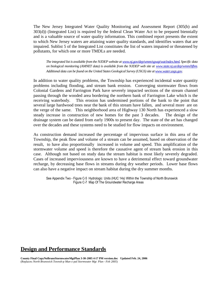The New Jersey Integrated Water Quality Monitoring and Assessment Report (305(b) and 303(d)) (Integrated List) is required by the federal Clean Water Act to be prepared biennially and is a valuable source of water quality information. This combined report presents the extent to which New Jersey waters are attaining water quality standards, and identifies waters that are impaired. Sublist 5 of the Integrated List constitutes the list of waters impaired or threatened by pollutants, for which one or more TMDLs are needed.

*The integrated list is available from the NJDEP website at [www.nj.gov/dep/wmm/sgwqt/wat/index.html.](http://www.nj.gov/dep/wmm/sgwqt/wat/index.html) Specific data on biological monitoring (AMNET data) is available from the NJDEP web site at [www.state.nj.us/dep/wmm/bfbm.](http://www.state.nj.us/dep/wmm/bfbm) Additional data can be found on the United States Geological Survey (USGS) siteat[www.water.usgs.gov.](http://www.water.usgs.gov/)*

In addition to water quality problems, the Township has experienced incidental water quantity problems including flooding, and stream bank erosion. Converging stormwater flows from Colonial Gardens and Farrington Park have severely impacted sections of the stream channel passing through the wooded area bordering the northern bank of Farrington Lake which is the receiving waterbody. This erosion has undermined portions of the bank to the point that several large hardwood trees near the bank of this stream have fallen, and several more are on the verge of the same. This neighborhood area of Highway 130 North has experienced a slow steady increase in construction of new homes for the past 3 decades. The design of the drainage system can be dated from early 1900s to present day. The state of the art has changed over the decades and these systems need to be studied for flow impacts on environment.

As construction demand increased the percentage of impervious surface in this area of the Township, the peak flow and volume of a stream can be assumed, based on observation of the result, to have also proportionally increased in volume and speed. This amplification of the stormwater volume and speed is therefore the causative agent of stream bank erosion in this case. Although not based on study data the stream habitat is most likely severely degraded. Cases of increased imperviousness are known to have a detrimental effect toward groundwater recharge, by decreasing base flows in streams during dry weather periods. Lower base flows can also have a negative impact on stream habitat during the dry summer months.

See Appendix Two - Figure C-5 Hydrologic Units (HUC 14s) Within the Township of North Brunswick Figure C-7 Map Of The Groundwater Recharge Areas

### **Design and Performance Standards**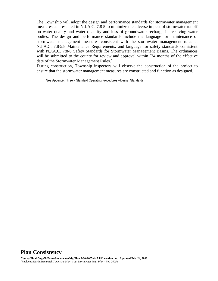The Township will adopt the design and performance standards for stormwater management measures as presented in N.J.A.C. 7:8-5 to minimize the adverse impact of stormwater runoff on water quality and water quantity and loss of groundwater recharge in receiving water bodies. The design and performance standards include the language for maintenance of stormwater management measures consistent with the stormwater management rules at N.J.A.C. 7:8-5.8 Maintenance Requirements, and language for safety standards consistent with N.J.A.C. 7:8-6 Safety Standards for Stormwater Management Basins. The ordinances will be submitted to the county for review and approval within [24 months of the effective date of the Stormwater Management Rules.]

During construction, Township inspectors will observe the construction of the project to ensure that the stormwater management measures are constructed and function as designed.

See Appendix Three – Standard Operating Procedures –Design Standards

### **Plan Consistency**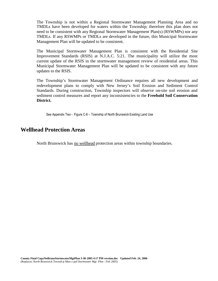The Township is not within a Regional Stormwater Management Planning Area and no TMDLs have been developed for waters within the Township; therefore this plan does not need to be consistent with any Regional Stormwater Management Plan(s) (RSWMPs) nor any TMDLs. If any RSWMPs or TMDLs are developed in the future, this Municipal Stormwater Management Plan will be updated to be consistent.

The Municipal Stormwater Management Plan is consistent with the Residential Site Improvement Standards (RSIS) at N.J.A.C. 5:21. The municipality will utilize the most current update of the RSIS in the stormwater management review of residential areas. This Municipal Stormwater Management Plan will be updated to be consistent with any future updates to the RSIS.

The Township's Stormwater Management Ordinance requires all new development and redevelopment plans to comply with New Jersey's Soil Erosion and Sediment Control Standards. During construction, Township inspectors will observe on-site soil erosion and sediment control measures and report any inconsistencies to the **Freehold Soil Conservation District.**

See Appendix Two - Figure C-6 – Township of North Brunswick Existing Land Use

### **Wellhead Protection Areas**

North Brunswick has no wellhead protection areas within township boundaries.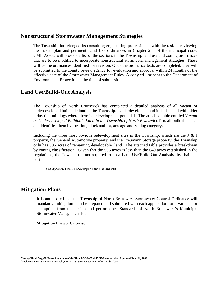### **Nonstructural Stormwater Management Strategies**

The Township has charged its consulting engineering professionals with the task of reviewing the master plan and pertinent Land Use ordinances in Chapter 205 of the municipal code. CME Assoc. will provide a list of the sections in the Township land use and zoning ordinances that are to be modified to incorporate nonstructural stormwater management strategies. These will be the ordinances identified for revision. Once the ordinance texts are completed, they will be submitted to the county review agency for evaluation and approval within 24 months of the effective date of the Stormwater Management Rules. A copy will be sent to the Department of Environmental Protection at the time of submission.

### **Land Use/Build-Out Analysis**

The Township of North Brunswick has completed a detailed analysis of all vacant or underdeveloped buildable land in the Township. Underdeveloped land includes land with older industrial buildings where there is redevelopment potential. The attached table entitled *Vacant or Underdeveloped Buildable Land in the Township of North Brunswick* lists all buildable sites and identifies them by location, block and lot, acreage and zoning category.

Including the three most obvious redevelopment sites in the Township, which are the J  $&$  J property, the General Automotive property, and the Treumann Storage property, the Township only has 506 acres of remaining developable land. The attached table provides a breakdown by zoning classification. Given that the 506 acres is less than the 640 acres established in the regulations, the Township is not required to do a Land Use/Build-Out Analysis by drainage basin.

See Appendix One - Undeveloped Land Use Analysis

### **Mitigation Plans**

It is anticipated that the Township of North Brunswick Stormwater Control Ordinance will mandate a mitigation plan be prepared and submitted with each application for a variance or exemption from the design and performance Standards of North Brunswick's Municipal Stormwater Management Plan.

### **Mitigation Project Criteria:**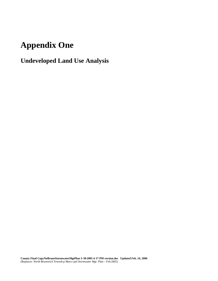# **Appendix One**

### **Undeveloped Land Use Analysis**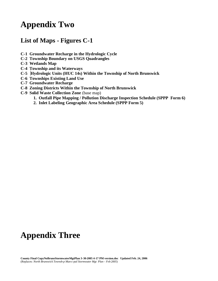# **Appendix Two**

### **List of Maps - Figures C-1**

- **C-1 Groundwater Recharge in the Hydrologic Cycle**
- **C-2 Township Boundary on USGS Quadrangles**
- **C-3 Wetlands Map**
- **C-4 Township and its Waterways**
- **C-5 Hydrologic Units (HUC 14s) Within the Township of North Brunswick**
- **C-6 Townships Existing Land Use**
- **C-7 Groundwater Recharge**
- **C-8 Zoning Districts Within the Township of North Brunswick**
- **C-9 Solid Waste Collection Zone** (base map)
	- **1. Outfall Pipe Mapping / Pollution Discharge Inspection Schedule (SPPP Form 6)**
	- **2. Inlet Labeling Geographic Area Schedule (SPPP Form 5)**

## **Appendix Three**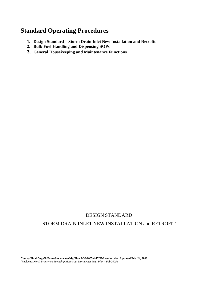### **Standard Operating Procedures**

- **1. Design Standard – Storm Drain Inlet New Installation and Retrofit**
- **2. Bulk Fuel Handling and Dispensing SOPs**
- **3. General Housekeeping and Maintenance Functions**

### DESIGN STANDARD

### STORM DRAIN INLET NEW INSTALLATION and RETROFIT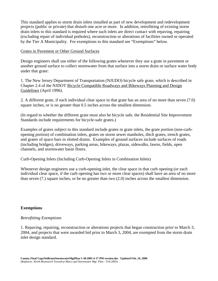This standard applies to storm drain inlets installed as part of new development and redevelopment projects (public or private) that disturb one acre or more. In addition, retrofitting of existing storm drain inlets to this standard is required where such inlets are direct contact with repaving, repairing (excluding repair of individual potholes), reconstruction or alterations of facilities owned or operated by the Tier A Municipality. For exemptions to this standard see "Exemptions" below.

#### Grates in Pavement or Other Ground Surfaces

Design engineers shall use either of the following grates whenever they use a grate in pavement or another ground surface to collect stormwater from that surface into a storm drain or surface water body under that grate:

1. The New Jersey Department of Transportation (NJUDO) bicycle safe grate, which is described in Chapter 2.4 of the NJDOT Bicycle Compatible Roadways and Bikeways Planning and Design Guidelines (April 1996).

2. A different grate, if each individual clear space in that grate has an area of no more than seven (7.0) square inches, or is no greater than 0.5 inches across the smallest dimension.

(In regard to whether the different grate must also be bicycle safe, the Residential Site Improvement Standards include requirements for bicycle-safe grates.)

Examples of grates subject to this standard include grates in grate inlets, the grate portion (non-curbopening portion) of combination inlets, grates on storm sewer manholes, ditch grates, trench grates, and grates of space bars in slotted drains. Examples of ground surfaces include surfaces of roads (including bridges), driveways, parking areas, bikeways, plazas, sidewalks, lawns, fields, open channels, and stormwater basin floors.

Curb-Opening Inlets (Including Curb-Opening Inlets in Combination Inlets)

Whenever design engineers use a curb-opening inlet, the clear space in that curb opening (or each individual clear space, if the curb opening has two or more clear spaces) shall have an area of no more than seven (7.) square inches, or be no greater than two (2.0) inches across the smallest dimension.

### **Exemptions**

### *Retrofitting Exemptions*

1. Repaving, repairing, reconstruction or alterations projects that began construction prior to March 3, 2004, and projects that were awarded bid prior to March 3, 2004, are exempted from the storm drain inlet design standard.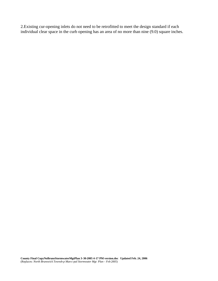2.Existing cur-opening inlets do not need to be retrofitted to meet the design standard if each individual clear space in the curb opening has an area of no more than nine (9.0) square inches.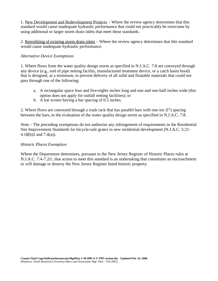1. New Development and Redevelopment Projects – Where the review agency determines that this standard would cause inadequate hydraulic performance that could not practicably be overcome by using additional or larger storm drain inlets that meet these standards.

2. Retrofitting of existing storm drain inlets – Where the review agency determines that this standard would cause inadequate hydraulic performance.

### *Alternative Device Exemptions*

1. Where flows from the water quality design storm as specified in N.J.A.C. 7:8 are conveyed through any device (e.g., end of pipe netting facility, manufactured treatment device, or a catch basin hood) that is designed, at a minimum, to prevent delivery of all solid and floatable materials that could not pass through one of the following:

- a. A rectangular space four and five-eights inches long and one and one-half inches wide (this option does not apply for outfall netting facilities); or
- b. A bar screen having a bar spacing of 0.5 inches.

2. Where flows are conveyed through a trash rack that has parallel bars with one-inc (l") spacing between the bars, to the evaluation of the water quality design storm as specified in N.J.A.C. 7:8.

Note – The preceding exemptions do not authorize any infringement of requirements in the Residential Site Improvement Standards for bicycle-safe grates in new residential development (N.J.A.C. 5:21- 4.18(b)2 and 7.4(a)).

### *Historic Places Exemption*

Where the Department determines, pursuant to the New Jersey Register of Historic Places rules at N.J.A.C. 7:4-7.2©, that action to meet this standard is an undertaking that constitutes an encroachment or will damage or destroy the New Jersey Register listed historic property.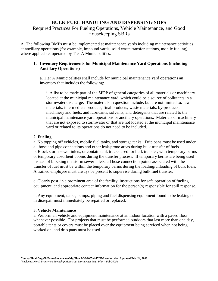### **BULK FUEL HANDLING AND DISPENSING SOPS** Required Practices For Fueling Operations, Vehicle Maintenance, and Good Housekeeping SBRs

A. The following BMPs must be implemented at maintenance yards including maintenance activities at ancillary operations (for example, impound yards, solid waste transfer stations, mobile fueling), where applicable, operated by Tier A Municipalities:

### **1. Inventory Requirements for Municipal Maintenance Yard Operations (including Ancillary Operations)**

a. Tier A Municipalities shall include for municipal maintenance yard operations an inventory that includes the following:

i. A list to be made part of the SPPP of general categories of all materials or machinery located at the municipal maintenance yard, which could be a source of pollutants in a stormwater discharge. The materials in question include, but are not limited to: raw materials; intermediate products; final products; waste materials; by-products; machinery and fuels; and lubricants, solvents, and detergents that are related to the municipal maintenance yard operations or ancillary operations. Materials or machinery that are not exposed to stormwater or that are not located at the municipal maintenance yard or related to its operations do not need to be included.

### **2. Fueling**

a. No topping off vehicles, mobile fuel tanks, and storage tanks. Drip pans must be used under all hose and pipe connections and other leak-prone areas during bulk transfer of fuels. b. Block storm sewer inlets, or contain tank trucks used for bulk transfer, with temporary berms or temporary absorbent booms during the transfer process. If temporary berms are being used instead of blocking the storm sewer inlets, all hose connection points associated with the transfer of fuel must be within the temporary berms during the loading/unloading of bulk fuels. A trained employee must always be present to supervise during bulk fuel transfer.

c. Clearly post, in a prominent area of the facility, instructions for safe operation of fueling equipment, and appropriate contact information for the person(s) responsible for spill response.

d. Any equipment, tanks, pumps, piping and fuel dispensing equipment found to be leaking or in disrepair must immediately be repaired or replaced.

### **3. Vehicle Maintenance**

a. Perform all vehicle and equipment maintenance at an indoor location with a paved floor whenever possible. For projects that must be performed outdoors that last more than one day, portable tents or covers must be placed over the equipment being serviced when not being worked on, and drip pans must be used.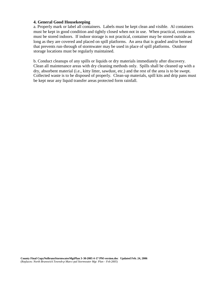### **4. General Good Housekeeping**

a. Properly mark or label all containers. Labels must be kept clean and visible. Al containers must be kept in good condition and tightly closed when not in use. When practical, containers must be stored indoors. If indoor storage is not practical, container may be stored outside as long as they are covered and placed on spill platforms. An area that is graded and/or bermed that prevents run-through of stormwater may be used in place of spill platforms. Outdoor storage locations must be regularly maintained.

b. Conduct cleanups of any spills or liquids or dry materials immediately after discovery. Clean all maintenance areas with dry cleaning methods only. Spills shall be cleaned up with a dry, absorbent material (i.e., kitty litter, sawdust, etc.) and the rest of the area is to be swept. Collected waste is to be disposed of properly. Clean-up materials, spill kits and drip pans must be kept near any liquid transfer areas protected form rainfall.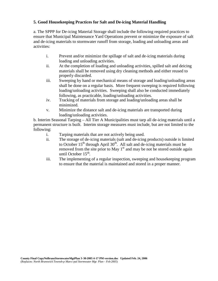### **5. Good Housekeeping Practices for Salt and De-icing Material Handling**

a. The SPPP for De-icing Material Storage shall include the following required practices to ensure that Municipal Maintenance Yard Operations prevent or minimize the exposure of salt and de-icing materials to stormwater runoff from storage, loading and unloading areas and activities:

- i. Prevent and/or minimize the spillage of salt and de-icing materials during loading and unloading activities.
- ii. At the completion of loading and unloading activities, spilled salt and deicing materials shall be removed using dry cleaning methods and either reused to properly discarded.
- iii. Sweeping by hand or mechanical means of storage and loading/unloading areas shall be done on a regular basis. More frequent sweeping is required following loading/unloading activities. Sweeping shall also be conducted immediately following, as practicable, loading/unloading activities.
- iv. Tracking of materials from storage and loading/unloading areas shall be minimized.
- v. Minimize the distance salt and de-icing materials are transported during loading/unloading activities.

b. Interim Seasonal Tarping – All Tier A Municipalities must tarp all de-icing materials until a permanent structure is built. Interim storage measures must include, but are not limited to the following:

- i. Tarping materials that are not actively being used.
- ii. The storage of de-icing materials (salt and de-icing products) outside is limited to October  $15<sup>th</sup>$  through April  $30<sup>th</sup>$ . All salt and de-icing materials must be removed from the site prior to May  $1<sup>st</sup>$  and may be not be stored outside again until October 15<sup>th</sup>.
- iii. The implementing of a regular inspection, sweeping and housekeeping program to ensure that the material is maintained and stored in a proper manner.